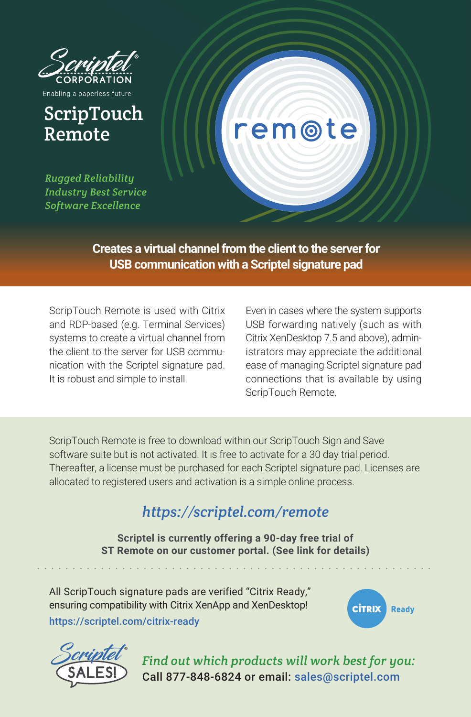

Enabling a paperless future

## ScripTouch Remote

*Rugged Reliability Industry Best Service Software Excellence*

## **Creates a virtual channel from the client to the server for USB communication with a Scriptel signature pad**

ScripTouch Remote is used with Citrix and RDP-based (e.g. Terminal Services) systems to create a virtual channel from the client to the server for USB communication with the Scriptel signature pad. It is robust and simple to install.

Even in cases where the system supports USB forwarding natively (such as with Citrix XenDesktop 7.5 and above), administrators may appreciate the additional ease of managing Scriptel signature pad connections that is available by using ScripTouch Remote.

em@te

ScripTouch Remote is free to download within our ScripTouch Sign and Save software suite but is not activated. It is free to activate for a 30 day trial period. Thereafter, a license must be purchased for each Scriptel signature pad. Licenses are allocated to registered users and activation is a simple online process.

## *https://scriptel.com/remote*

**Scriptel is currently offering a 90-day free trial of ST Remote on our customer portal. (See link for details)**

All ScripTouch signature pads are verified "Citrix Ready," ensuring compatibility with Citrix XenApp and XenDesktop! https://scriptel.com/citrix-ready





*Find out which products will work best for you:* Call 877-848-6824 or email: sales@scriptel.com